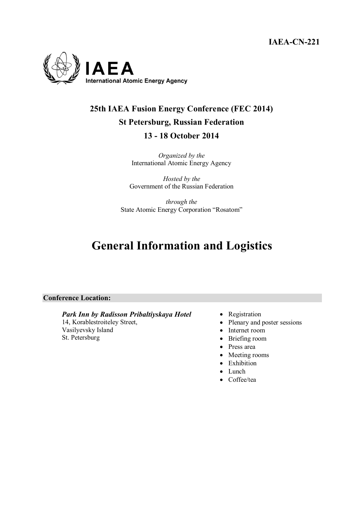**IAEA-CN-221** 



# **25th IAEA Fusion Energy Conference (FEC 2014) St Petersburg, Russian Federation 13 - 18 October 2014**

*Organized by the* International Atomic Energy Agency

*Hosted by the*  Government of the Russian Federation

*through the*  State Atomic Energy Corporation "Rosatom"

# **General Information and Logistics**

## **Conference Location:**

#### *Park Inn by Radisson Pribaltiyskaya Hotel*  14, Korablestroiteley Street,

Vasilyevsky Island St. Petersburg

- Registration
- Plenary and poster sessions
- Internet room
- Briefing room
- Press area
- Meeting rooms
- Exhibition
- Lunch
- Coffee/tea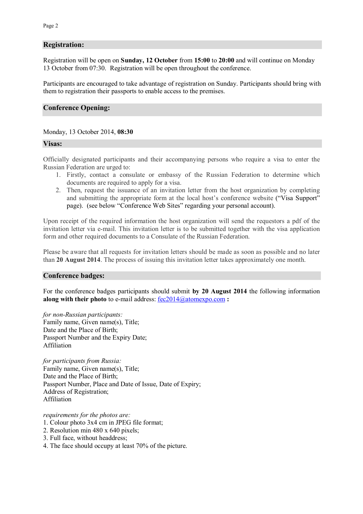## **Registration:**

Registration will be open on **Sunday, 12 October** from **15:00** to **20:00** and will continue on Monday 13 October from 07:30. Registration will be open throughout the conference.

Participants are encouraged to take advantage of registration on Sunday. Participants should bring with them to registration their passports to enable access to the premises.

### **Conference Opening:**

#### Monday, 13 October 2014, **08:30**

#### **Visas:**

Officially designated participants and their accompanying persons who require a visa to enter the Russian Federation are urged to:

- 1. Firstly, contact a consulate or embassy of the Russian Federation to determine which documents are required to apply for a visa.
- 2. Then, request the issuance of an invitation letter from the host organization by completing and submitting the appropriate form at the local host's conference website ("Visa Support" page). (see below "Conference Web Sites" regarding your personal account).

Upon receipt of the required information the host organization will send the requestors a pdf of the invitation letter via e-mail. This invitation letter is to be submitted together with the visa application form and other required documents to a Consulate of the Russian Federation.

Please be aware that all requests for invitation letters should be made as soon as possible and no later than **20 August 2014**. The process of issuing this invitation letter takes approximately one month.

#### **Conference badges:**

For the conference badges participants should submit **by 20 August 2014** the following information **along with their photo** to e-mail address: fec2014@atomexpo.com **:**

*for non-Russian participants:* Family name, Given name(s), Title; Date and the Place of Birth; Passport Number and the Expiry Date; Affiliation

*for participants from Russia:*  Family name, Given name(s), Title; Date and the Place of Birth; Passport Number, Place and Date of Issue, Date of Expiry; Address of Registration; Affiliation

*requirements for the photos are:*

- 1. Colour photo 3х4 cm in JPEG file format;
- 2. Resolution min 480 x 640 pixels;
- 3. Full face, without headdress;
- 4. The face should occupy at least 70% of the picture.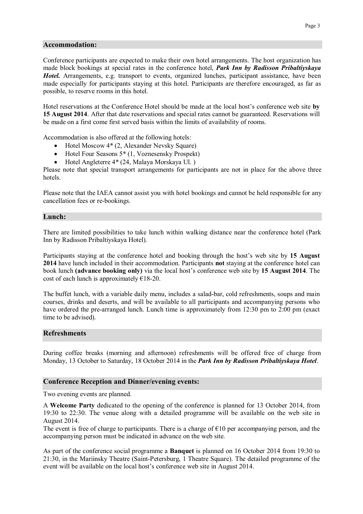### **Accommodation:**

Conference participants are expected to make their own hotel arrangements. The host organization has made block bookings at special rates in the conference hotel, *Park Inn by Radisson Pribaltiyskaya Hotel.* Arrangements, e.g. transport to events, organized lunches, participant assistance, have been made especially for participants staying at this hotel. Participants are therefore encouraged, as far as possible, to reserve rooms in this hotel.

Hotel reservations at the Conference Hotel should be made at the local host's conference web site **by 15 August 2014**. After that date reservations and special rates cannot be guaranteed. Reservations will be made on a first come first served basis within the limits of availability of rooms.

Accommodation is also offered at the following hotels:

- Hotel Moscow 4<sup>\*</sup> (2, Alexander Nevsky Square)
- Hotel Four Seasons 5<sup>\*</sup> (1, Voznesensky Prospekt)
- Hotel Angleterre 4\* (24, Malaya Morskaya Ul. )

Please note that special transport arrangements for participants are not in place for the above three hotels.

Please note that the IAEA cannot assist you with hotel bookings and cannot be held responsible for any cancellation fees or re-bookings.

#### **Lunch:**

There are limited possibilities to take lunch within walking distance near the conference hotel (Park Inn by Radisson Pribaltiyskaya Hotel).

Participants staying at the conference hotel and booking through the host's web site by **15 August 2014** have lunch included in their accommodation. Participants **not** staying at the conference hotel can book lunch **(advance booking only)** via the local host's conference web site by **15 August 2014**. The cost of each lunch is approximately  $\epsilon$ 18-20.

The buffet lunch, with a variable daily menu, includes a salad-bar, cold refreshments, soups and main courses, drinks and deserts, and will be available to all participants and accompanying persons who have ordered the pre-arranged lunch. Lunch time is approximately from 12:30 pm to 2:00 pm (exact time to be advised).

#### **Refreshments**

During coffee breaks (morning and afternoon) refreshments will be offered free of charge from Monday, 13 October to Saturday, 18 October 2014 in the *Park Inn by Radisson Pribaltiyskaya Hotel*.

#### **Conference Reception and Dinner/evening events:**

Two evening events are planned.

A **Welcome Party** dedicated to the opening of the conference is planned for 13 October 2014, from 19:30 to 22:30. The venue along with a detailed programme will be available on the web site in August 2014.

The event is free of charge to participants. There is a charge of  $\epsilon$ 10 per accompanying person, and the accompanying person must be indicated in advance on the web site.

As part of the conference social programme a **Banquet** is planned on 16 October 2014 from 19:30 to 21:30, in the Mariinsky Theatre (Saint-Petersburg, 1 Theatre Square). The detailed programme of the event will be available on the local host's conference web site in August 2014.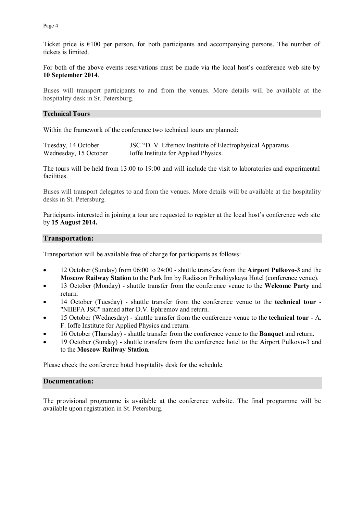Page 4

Ticket price is  $\epsilon$ 100 per person, for both participants and accompanying persons. The number of tickets is limited.

For both of the above events reservations must be made via the local host's conference web site by **10 September 2014**.

Buses will transport participants to and from the venues. More details will be available at the hospitality desk in St. Petersburg.

### **Technical Tours**

Within the framework of the conference two technical tours are planned:

| Tuesday, 14 October   | JSC "D. V. Efremov Institute of Electrophysical Apparatus |
|-----------------------|-----------------------------------------------------------|
| Wednesday, 15 October | Ioffe Institute for Applied Physics.                      |

The tours will be held from 13:00 to 19:00 and will include the visit to laboratories and experimental facilities.

Buses will transport delegates to and from the venues. More details will be available at the hospitality desks in St. Petersburg.

Participants interested in joining a tour are requested to register at the local host's conference web site by **15 August 2014.** 

### **Transportation:**

Transportation will be available free of charge for participants as follows:

- 12 October (Sunday) from 06:00 to 24:00 shuttle transfers from the **Airport Pulkovo-3** and the **Moscow Railway Station** to the Park Inn by Radisson Pribaltiyskaya Hotel (conference venue).
- 13 October (Monday) shuttle transfer from the conference venue to the **Welcome Party** and return.
- 14 October (Tuesday) shuttle transfer from the conference venue to the **technical tour** "NIIEFA JSC" named after D.V. Ephremov and return.
- 15 October (Wednesday) shuttle transfer from the conference venue to the **technical tour** A. F. Ioffe Institute for Applied Physics and return.
- 16 October (Thursday) shuttle transfer from the conference venue to the **Banquet** and return.
- 19 October (Sunday) shuttle transfers from the conference hotel to the Airport Pulkovo-3 and to the **Moscow Railway Station**.

Please check the conference hotel hospitality desk for the schedule.

#### **Documentation:**

The provisional programme is available at the conference website. The final programme will be available upon registration in St. Petersburg.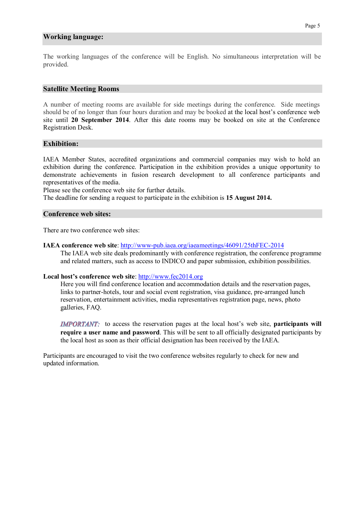#### **Working language:**

The working languages of the conference will be English. No simultaneous interpretation will be provided.

#### **Satellite Meeting Rooms**

A number of meeting rooms are available for side meetings during the conference. Side meetings should be of no longer than four hours duration and may be booked at the local host's conference web site until **20 September 2014**. After this date rooms may be booked on site at the Conference Registration Desk.

#### **Exhibition:**

IAEA Member States, accredited organizations and commercial companies may wish to hold an exhibition during the conference. Participation in the exhibition provides a unique opportunity to demonstrate achievements in fusion research development to all conference participants and representatives of the media.

Please see the conference web site for further details.

The deadline for sending a request to participate in the exhibition is **15 August 2014.**

#### **Conference web sites:**

There are two conference web sites:

#### **IAEA conference web site**: http://www-pub.iaea.org/iaeameetings/46091/25thFEC-2014

The IAEA web site deals predominantly with conference registration, the conference programme and related matters, such as access to INDICO and paper submission, exhibition possibilities.

#### **Local host's conference web site**: http://www.fec2014.org

Here you will find conference location and accommodation details and the reservation pages, links to partner-hotels, tour and social event registration, visa guidance, pre-arranged lunch reservation, entertainment activities, media representatives registration page, news, photo galleries, FAQ.

**IMPORTANT:** to access the reservation pages at the local host's web site, **participants will require a user name and password**. This will be sent to all officially designated participants by the local host as soon as their official designation has been received by the IAEA.

Participants are encouraged to visit the two conference websites regularly to check for new and updated information.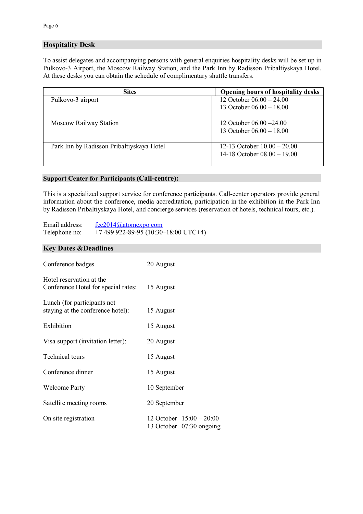# **Hospitality Desk**

To assist delegates and accompanying persons with general enquiries hospitality desks will be set up in Pulkovo-3 Airport, the Moscow Railway Station, and the Park Inn by Radisson Pribaltiyskaya Hotel. At these desks you can obtain the schedule of complimentary shuttle transfers.

| <b>Sites</b>                              | <b>Opening hours of hospitality desks</b> |
|-------------------------------------------|-------------------------------------------|
| Pulkovo-3 airport                         | 12 October $06.00 - 24.00$                |
|                                           | 13 October $06.00 - 18.00$                |
|                                           |                                           |
| <b>Moscow Railway Station</b>             | 12 October $06.00 - 24.00$                |
|                                           | 13 October $06.00 - 18.00$                |
|                                           |                                           |
| Park Inn by Radisson Pribaltiyskaya Hotel | 12-13 October $10.00 - 20.00$             |
|                                           | 14-18 October $08.00 - 19.00$             |
|                                           |                                           |

#### **Support Center for Participants (Call-centre):**

This is a specialized support service for conference participants. Call-center operators provide general information about the conference, media accreditation, participation in the exhibition in the Park Inn by Radisson Pribaltiyskaya Hotel, and concierge services (reservation of hotels, technical tours, etc.).

Email address: fec2014@atomexpo.com Telephone no: +7 499 922-89-95 (10:30–18:00 UTC+4)

# **Key Dates &Deadlines**

| Conference badges                                                | 20 August                                              |
|------------------------------------------------------------------|--------------------------------------------------------|
| Hotel reservation at the<br>Conference Hotel for special rates:  | 15 August                                              |
| Lunch (for participants not<br>staying at the conference hotel): | 15 August                                              |
| Exhibition                                                       | 15 August                                              |
| Visa support (invitation letter):                                | 20 August                                              |
| Technical tours                                                  | 15 August                                              |
| Conference dinner                                                | 15 August                                              |
| <b>Welcome Party</b>                                             | 10 September                                           |
| Satellite meeting rooms                                          | 20 September                                           |
| On site registration                                             | 12 October $15:00 - 20:00$<br>13 October 07:30 ongoing |